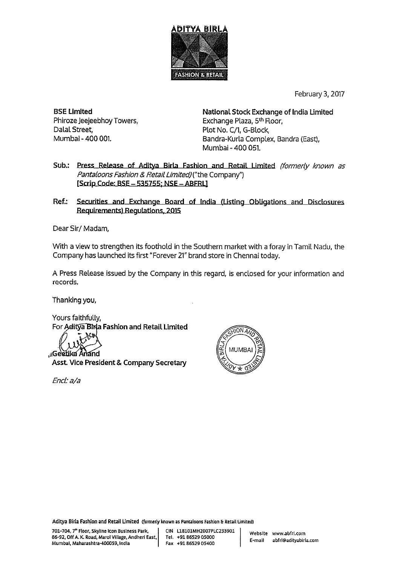

February 3, 2017

**BSE Limited** Phiroze Jeejeebhoy Towers, Dalal Street, Mumbai - 400 001.

National Stock Exchange of India Limited Exchange Plaza, 5th Floor, Plot No. C/1, G-Block, Bandra-Kurla Complex, Bandra (East), Mumbai - 400 051.

- Press Release of Aditya Birla Fashion and Retail Limited (formerly known as Sub. Pantaloons Fashion & Retail Limited) ("the Company") [Scrip Code: BSE - 535755; NSE - ABFRL]
- Ref.: Securities and Exchange Board of India (Listing Obligations and Disclosures Requirements) Regulations, 2015

Dear Sir/Madam,

With a view to strengthen its foothold in the Southern market with a foray in Tamil Nadu, the Company has launched its first "Forever 21" brand store in Chennai today.

A Press Release issued by the Company in this regard, is enclosed for your information and records.

Thanking you,

Yours faithfully, For Aditya Birla Fashion and Retail Limited

**AGee** tika Anand

**Asst. Vice President & Company Secretary** 

Encl: a/a



Aditya Birla Fashion and Retail Limited (formerly known as Pantaloons Fashion & Retail Limited)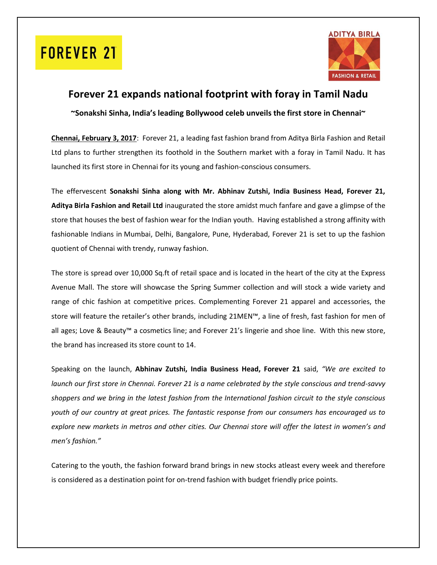## **FOREVER 21**



### **Forever 21 expands national footprint with foray in Tamil Nadu**

**~Sonakshi Sinha, India's leading Bollywood celeb unveils the first store in Chennai~**

**Chennai, February 3, 2017**: Forever 21, a leading fast fashion brand from Aditya Birla Fashion and Retail Ltd plans to further strengthen its foothold in the Southern market with a foray in Tamil Nadu. It has launched its first store in Chennai for its young and fashion-conscious consumers.

The effervescent **Sonakshi Sinha along with Mr. Abhinav Zutshi, India Business Head, Forever 21, Aditya Birla Fashion and Retail Ltd** inaugurated the store amidst much fanfare and gave a glimpse of the store that houses the best of fashion wear for the Indian youth. Having established a strong affinity with fashionable Indians in Mumbai, Delhi, Bangalore, Pune, Hyderabad, Forever 21 is set to up the fashion quotient of Chennai with trendy, runway fashion.

The store is spread over 10,000 Sq.ft of retail space and is located in the heart of the city at the Express Avenue Mall. The store will showcase the Spring Summer collection and will stock a wide variety and range of chic fashion at competitive prices. Complementing Forever 21 apparel and accessories, the store will feature the retailer's other brands, including 21MEN™, a line of fresh, fast fashion for men of all ages; Love & Beauty™ a cosmetics line; and Forever 21's lingerie and shoe line. With this new store, the brand has increased its store count to 14.

Speaking on the launch, **Abhinav Zutshi, India Business Head, Forever 21** said, *"We are excited to launch our first store in Chennai. Forever 21 is a name celebrated by the style conscious and trend-savvy shoppers and we bring in the latest fashion from the International fashion circuit to the style conscious youth of our country at great prices. The fantastic response from our consumers has encouraged us to explore new markets in metros and other cities. Our Chennai store will offer the latest in women's and men's fashion."*

Catering to the youth, the fashion forward brand brings in new stocks atleast every week and therefore is considered as a destination point for on-trend fashion with budget friendly price points.